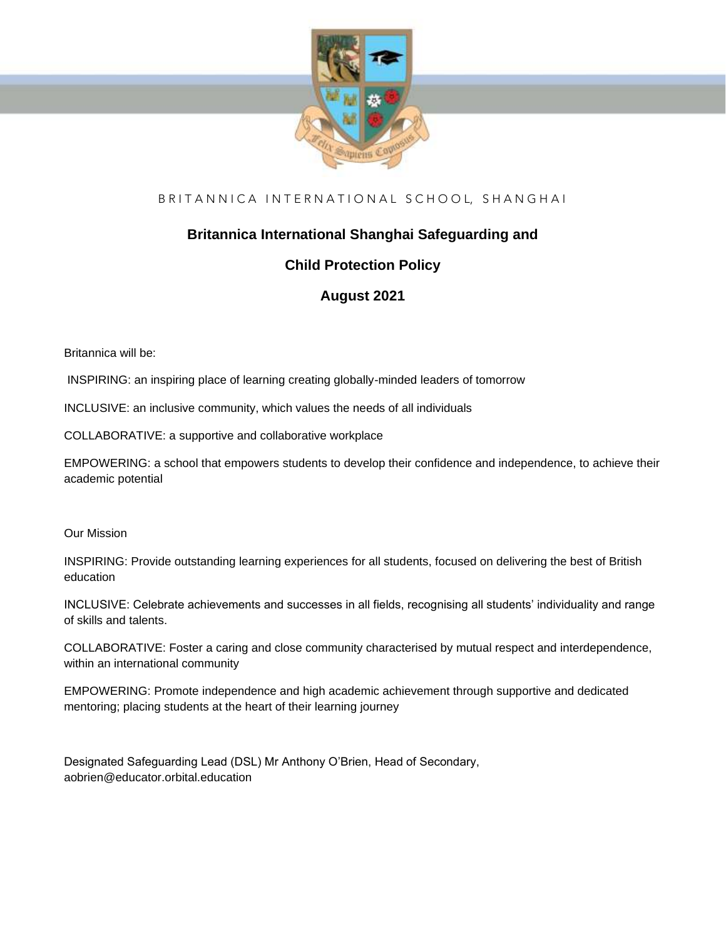

# BRITANNICA INTERNATIONAL SCHOOL, SHANGHAI

# **Britannica International Shanghai Safeguarding and**

# **Child Protection Policy**

# **August 2021**

Britannica will be:

INSPIRING: an inspiring place of learning creating globally-minded leaders of tomorrow

INCLUSIVE: an inclusive community, which values the needs of all individuals

COLLABORATIVE: a supportive and collaborative workplace

EMPOWERING: a school that empowers students to develop their confidence and independence, to achieve their academic potential

Our Mission

INSPIRING: Provide outstanding learning experiences for all students, focused on delivering the best of British education

INCLUSIVE: Celebrate achievements and successes in all fields, recognising all students' individuality and range of skills and talents.

COLLABORATIVE: Foster a caring and close community characterised by mutual respect and interdependence, within an international community

EMPOWERING: Promote independence and high academic achievement through supportive and dedicated mentoring; placing students at the heart of their learning journey

Designated Safeguarding Lead (DSL) Mr Anthony O'Brien, Head of Secondary, aobrien@educator.orbital.education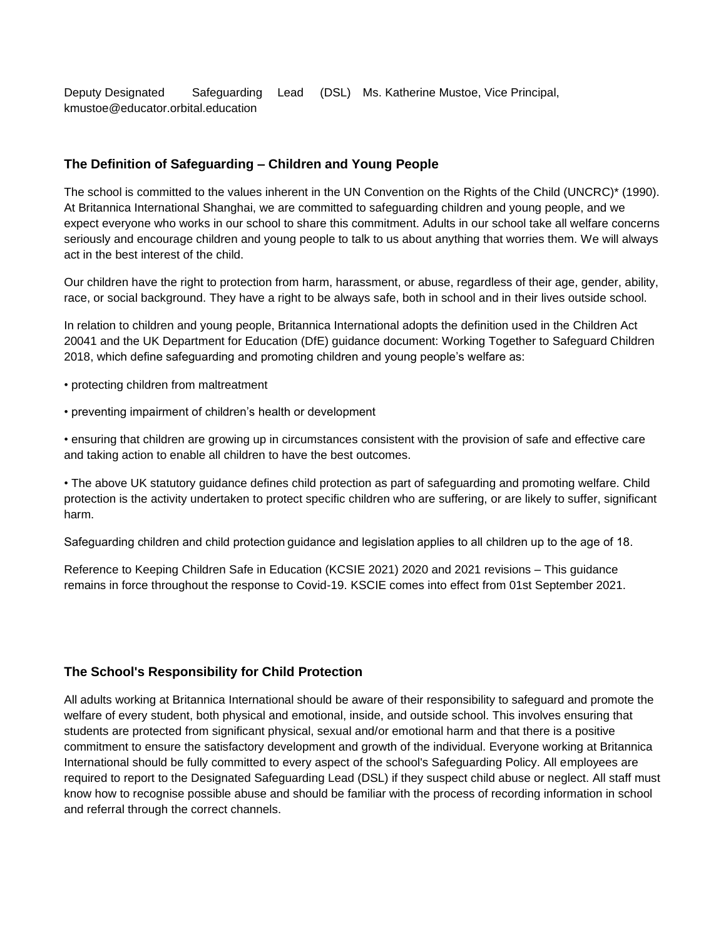Deputy Designated Safeguarding Lead (DSL) Ms. Katherine Mustoe, Vice Principal, kmustoe@educator.orbital.education

## **The Definition of Safeguarding – Children and Young People**

The school is committed to the values inherent in the UN Convention on the Rights of the Child (UNCRC)\* (1990). At Britannica International Shanghai, we are committed to safeguarding children and young people, and we expect everyone who works in our school to share this commitment. Adults in our school take all welfare concerns seriously and encourage children and young people to talk to us about anything that worries them. We will always act in the best interest of the child.

Our children have the right to protection from harm, harassment, or abuse, regardless of their age, gender, ability, race, or social background. They have a right to be always safe, both in school and in their lives outside school.

In relation to children and young people, Britannica International adopts the definition used in the Children Act 20041 and the UK Department for Education (DfE) guidance document: Working Together to Safeguard Children 2018, which define safeguarding and promoting children and young people's welfare as:

- protecting children from maltreatment
- preventing impairment of children's health or development

• ensuring that children are growing up in circumstances consistent with the provision of safe and effective care and taking action to enable all children to have the best outcomes.

• The above UK statutory guidance defines child protection as part of safeguarding and promoting welfare. Child protection is the activity undertaken to protect specific children who are suffering, or are likely to suffer, significant harm.

Safeguarding children and child protection guidance and legislation applies to all children up to the age of 18.

Reference to Keeping Children Safe in Education (KCSIE 2021) 2020 and 2021 revisions – This guidance remains in force throughout the response to Covid-19. KSCIE comes into effect from 01st September 2021.

#### **The School's Responsibility for Child Protection**

All adults working at Britannica International should be aware of their responsibility to safeguard and promote the welfare of every student, both physical and emotional, inside, and outside school. This involves ensuring that students are protected from significant physical, sexual and/or emotional harm and that there is a positive commitment to ensure the satisfactory development and growth of the individual. Everyone working at Britannica International should be fully committed to every aspect of the school's Safeguarding Policy. All employees are required to report to the Designated Safeguarding Lead (DSL) if they suspect child abuse or neglect. All staff must know how to recognise possible abuse and should be familiar with the process of recording information in school and referral through the correct channels.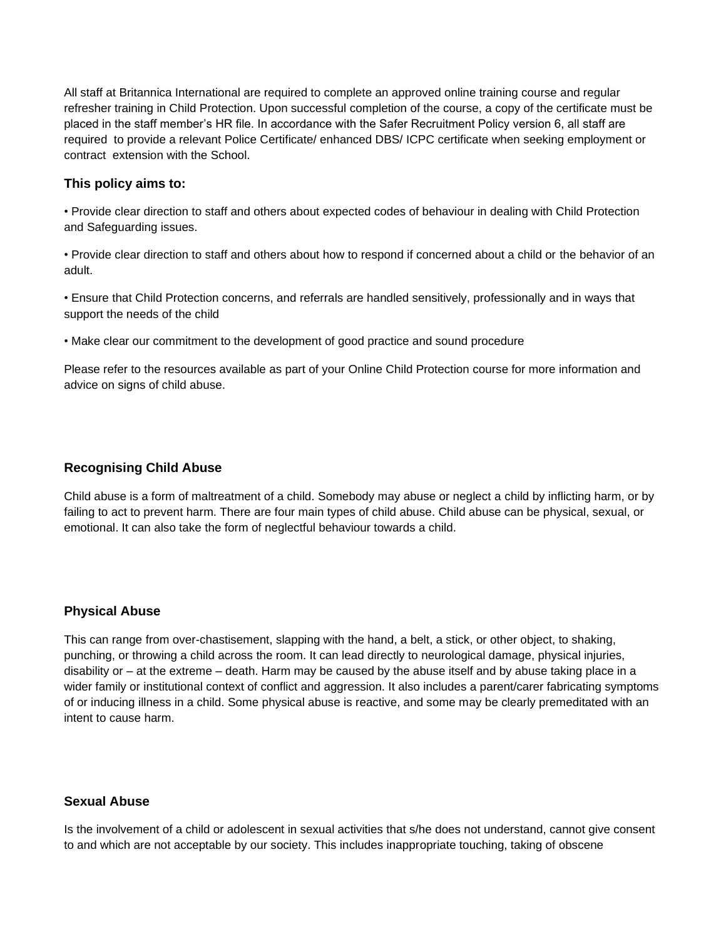All staff at Britannica International are required to complete an approved online training course and regular refresher training in Child Protection. Upon successful completion of the course, a copy of the certificate must be placed in the staff member's HR file. In accordance with the Safer Recruitment Policy version 6, all staff are required to provide a relevant Police Certificate/ enhanced DBS/ ICPC certificate when seeking employment or contract extension with the School.

#### **This policy aims to:**

• Provide clear direction to staff and others about expected codes of behaviour in dealing with Child Protection and Safeguarding issues.

• Provide clear direction to staff and others about how to respond if concerned about a child or the behavior of an adult.

• Ensure that Child Protection concerns, and referrals are handled sensitively, professionally and in ways that support the needs of the child

• Make clear our commitment to the development of good practice and sound procedure

Please refer to the resources available as part of your Online Child Protection course for more information and advice on signs of child abuse.

### **Recognising Child Abuse**

Child abuse is a form of maltreatment of a child. Somebody may abuse or neglect a child by inflicting harm, or by failing to act to prevent harm. There are four main types of child abuse. Child abuse can be physical, sexual, or emotional. It can also take the form of neglectful behaviour towards a child.

# **Physical Abuse**

This can range from over-chastisement, slapping with the hand, a belt, a stick, or other object, to shaking, punching, or throwing a child across the room. It can lead directly to neurological damage, physical injuries, disability or – at the extreme – death. Harm may be caused by the abuse itself and by abuse taking place in a wider family or institutional context of conflict and aggression. It also includes a parent/carer fabricating symptoms of or inducing illness in a child. Some physical abuse is reactive, and some may be clearly premeditated with an intent to cause harm.

# **Sexual Abuse**

Is the involvement of a child or adolescent in sexual activities that s/he does not understand, cannot give consent to and which are not acceptable by our society. This includes inappropriate touching, taking of obscene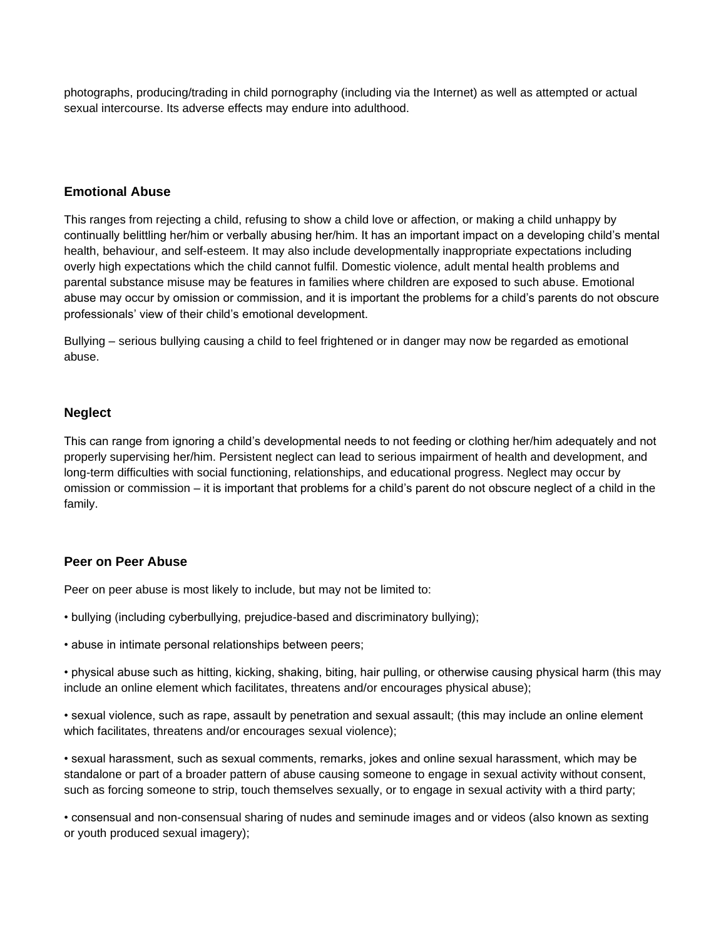photographs, producing/trading in child pornography (including via the Internet) as well as attempted or actual sexual intercourse. Its adverse effects may endure into adulthood.

### **Emotional Abuse**

This ranges from rejecting a child, refusing to show a child love or affection, or making a child unhappy by continually belittling her/him or verbally abusing her/him. It has an important impact on a developing child's mental health, behaviour, and self-esteem. It may also include developmentally inappropriate expectations including overly high expectations which the child cannot fulfil. Domestic violence, adult mental health problems and parental substance misuse may be features in families where children are exposed to such abuse. Emotional abuse may occur by omission or commission, and it is important the problems for a child's parents do not obscure professionals' view of their child's emotional development.

Bullying – serious bullying causing a child to feel frightened or in danger may now be regarded as emotional abuse.

#### **Neglect**

This can range from ignoring a child's developmental needs to not feeding or clothing her/him adequately and not properly supervising her/him. Persistent neglect can lead to serious impairment of health and development, and long-term difficulties with social functioning, relationships, and educational progress. Neglect may occur by omission or commission – it is important that problems for a child's parent do not obscure neglect of a child in the family.

#### **Peer on Peer Abuse**

Peer on peer abuse is most likely to include, but may not be limited to:

- bullying (including cyberbullying, prejudice-based and discriminatory bullying);
- abuse in intimate personal relationships between peers;

• physical abuse such as hitting, kicking, shaking, biting, hair pulling, or otherwise causing physical harm (this may include an online element which facilitates, threatens and/or encourages physical abuse);

• sexual violence, such as rape, assault by penetration and sexual assault; (this may include an online element which facilitates, threatens and/or encourages sexual violence);

• sexual harassment, such as sexual comments, remarks, jokes and online sexual harassment, which may be standalone or part of a broader pattern of abuse causing someone to engage in sexual activity without consent, such as forcing someone to strip, touch themselves sexually, or to engage in sexual activity with a third party;

• consensual and non-consensual sharing of nudes and seminude images and or videos (also known as sexting or youth produced sexual imagery);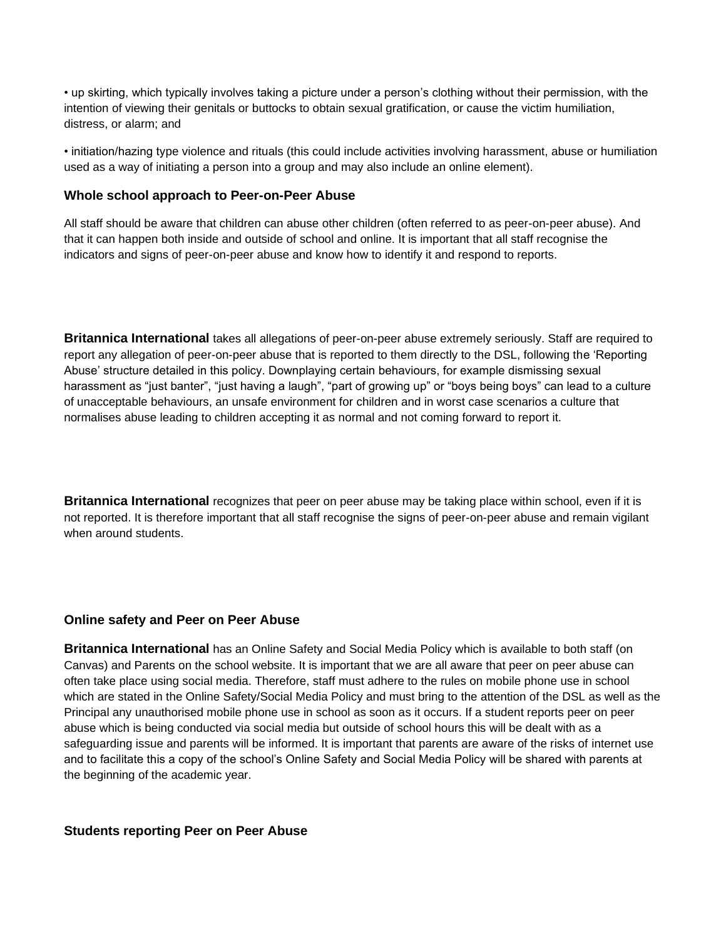• up skirting, which typically involves taking a picture under a person's clothing without their permission, with the intention of viewing their genitals or buttocks to obtain sexual gratification, or cause the victim humiliation, distress, or alarm; and

• initiation/hazing type violence and rituals (this could include activities involving harassment, abuse or humiliation used as a way of initiating a person into a group and may also include an online element).

#### **Whole school approach to Peer-on-Peer Abuse**

All staff should be aware that children can abuse other children (often referred to as peer-on-peer abuse). And that it can happen both inside and outside of school and online. It is important that all staff recognise the indicators and signs of peer-on-peer abuse and know how to identify it and respond to reports.

**Britannica International** takes all allegations of peer-on-peer abuse extremely seriously. Staff are required to report any allegation of peer-on-peer abuse that is reported to them directly to the DSL, following the 'Reporting Abuse' structure detailed in this policy. Downplaying certain behaviours, for example dismissing sexual harassment as "just banter", "just having a laugh", "part of growing up" or "boys being boys" can lead to a culture of unacceptable behaviours, an unsafe environment for children and in worst case scenarios a culture that normalises abuse leading to children accepting it as normal and not coming forward to report it.

**Britannica International** recognizes that peer on peer abuse may be taking place within school, even if it is not reported. It is therefore important that all staff recognise the signs of peer-on-peer abuse and remain vigilant when around students.

#### **Online safety and Peer on Peer Abuse**

**Britannica International** has an Online Safety and Social Media Policy which is available to both staff (on Canvas) and Parents on the school website. It is important that we are all aware that peer on peer abuse can often take place using social media. Therefore, staff must adhere to the rules on mobile phone use in school which are stated in the Online Safety/Social Media Policy and must bring to the attention of the DSL as well as the Principal any unauthorised mobile phone use in school as soon as it occurs. If a student reports peer on peer abuse which is being conducted via social media but outside of school hours this will be dealt with as a safeguarding issue and parents will be informed. It is important that parents are aware of the risks of internet use and to facilitate this a copy of the school's Online Safety and Social Media Policy will be shared with parents at the beginning of the academic year.

#### **Students reporting Peer on Peer Abuse**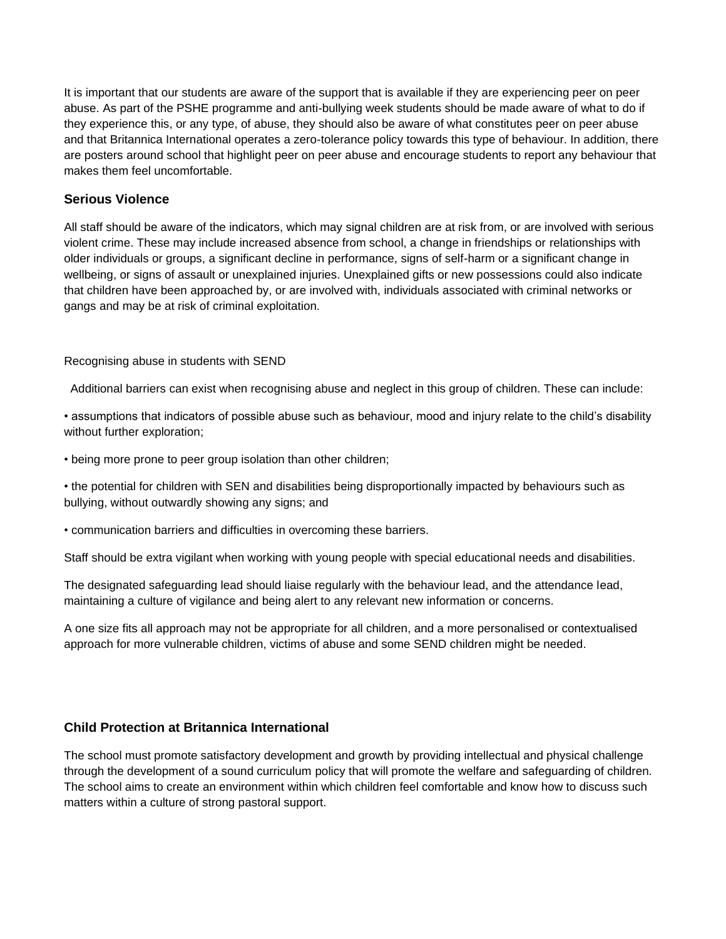It is important that our students are aware of the support that is available if they are experiencing peer on peer abuse. As part of the PSHE programme and anti-bullying week students should be made aware of what to do if they experience this, or any type, of abuse, they should also be aware of what constitutes peer on peer abuse and that Britannica International operates a zero-tolerance policy towards this type of behaviour. In addition, there are posters around school that highlight peer on peer abuse and encourage students to report any behaviour that makes them feel uncomfortable.

### **Serious Violence**

All staff should be aware of the indicators, which may signal children are at risk from, or are involved with serious violent crime. These may include increased absence from school, a change in friendships or relationships with older individuals or groups, a significant decline in performance, signs of self-harm or a significant change in wellbeing, or signs of assault or unexplained injuries. Unexplained gifts or new possessions could also indicate that children have been approached by, or are involved with, individuals associated with criminal networks or gangs and may be at risk of criminal exploitation.

Recognising abuse in students with SEND

Additional barriers can exist when recognising abuse and neglect in this group of children. These can include:

• assumptions that indicators of possible abuse such as behaviour, mood and injury relate to the child's disability without further exploration;

• being more prone to peer group isolation than other children;

• the potential for children with SEN and disabilities being disproportionally impacted by behaviours such as bullying, without outwardly showing any signs; and

• communication barriers and difficulties in overcoming these barriers.

Staff should be extra vigilant when working with young people with special educational needs and disabilities.

The designated safeguarding lead should liaise regularly with the behaviour lead, and the attendance lead, maintaining a culture of vigilance and being alert to any relevant new information or concerns.

A one size fits all approach may not be appropriate for all children, and a more personalised or contextualised approach for more vulnerable children, victims of abuse and some SEND children might be needed.

# **Child Protection at Britannica International**

The school must promote satisfactory development and growth by providing intellectual and physical challenge through the development of a sound curriculum policy that will promote the welfare and safeguarding of children. The school aims to create an environment within which children feel comfortable and know how to discuss such matters within a culture of strong pastoral support.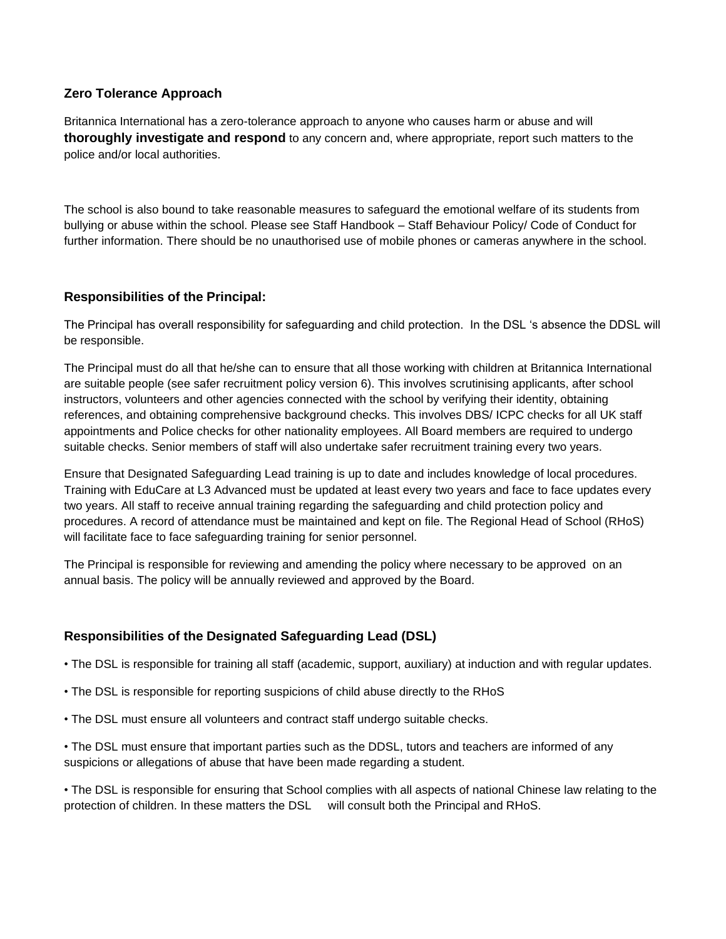# **Zero Tolerance Approach**

Britannica International has a zero-tolerance approach to anyone who causes harm or abuse and will **thoroughly investigate and respond** to any concern and, where appropriate, report such matters to the police and/or local authorities.

The school is also bound to take reasonable measures to safeguard the emotional welfare of its students from bullying or abuse within the school. Please see Staff Handbook – Staff Behaviour Policy/ Code of Conduct for further information. There should be no unauthorised use of mobile phones or cameras anywhere in the school.

# **Responsibilities of the Principal:**

The Principal has overall responsibility for safeguarding and child protection. In the DSL 's absence the DDSL will be responsible.

The Principal must do all that he/she can to ensure that all those working with children at Britannica International are suitable people (see safer recruitment policy version 6). This involves scrutinising applicants, after school instructors, volunteers and other agencies connected with the school by verifying their identity, obtaining references, and obtaining comprehensive background checks. This involves DBS/ ICPC checks for all UK staff appointments and Police checks for other nationality employees. All Board members are required to undergo suitable checks. Senior members of staff will also undertake safer recruitment training every two years.

Ensure that Designated Safeguarding Lead training is up to date and includes knowledge of local procedures. Training with EduCare at L3 Advanced must be updated at least every two years and face to face updates every two years. All staff to receive annual training regarding the safeguarding and child protection policy and procedures. A record of attendance must be maintained and kept on file. The Regional Head of School (RHoS) will facilitate face to face safeguarding training for senior personnel.

The Principal is responsible for reviewing and amending the policy where necessary to be approved on an annual basis. The policy will be annually reviewed and approved by the Board.

# **Responsibilities of the Designated Safeguarding Lead (DSL)**

• The DSL is responsible for training all staff (academic, support, auxiliary) at induction and with regular updates.

- The DSL is responsible for reporting suspicions of child abuse directly to the RHoS
- The DSL must ensure all volunteers and contract staff undergo suitable checks.

• The DSL must ensure that important parties such as the DDSL, tutors and teachers are informed of any suspicions or allegations of abuse that have been made regarding a student.

• The DSL is responsible for ensuring that School complies with all aspects of national Chinese law relating to the protection of children. In these matters the DSL will consult both the Principal and RHoS.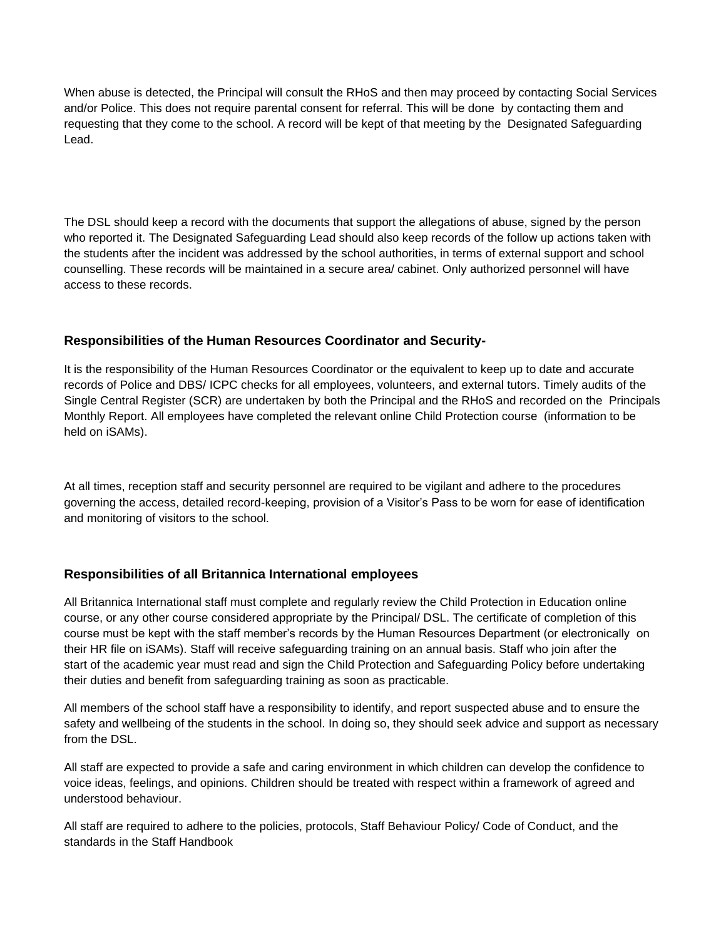When abuse is detected, the Principal will consult the RHoS and then may proceed by contacting Social Services and/or Police. This does not require parental consent for referral. This will be done by contacting them and requesting that they come to the school. A record will be kept of that meeting by the Designated Safeguarding Lead.

The DSL should keep a record with the documents that support the allegations of abuse, signed by the person who reported it. The Designated Safeguarding Lead should also keep records of the follow up actions taken with the students after the incident was addressed by the school authorities, in terms of external support and school counselling. These records will be maintained in a secure area/ cabinet. Only authorized personnel will have access to these records.

# **Responsibilities of the Human Resources Coordinator and Security-**

It is the responsibility of the Human Resources Coordinator or the equivalent to keep up to date and accurate records of Police and DBS/ ICPC checks for all employees, volunteers, and external tutors. Timely audits of the Single Central Register (SCR) are undertaken by both the Principal and the RHoS and recorded on the Principals Monthly Report. All employees have completed the relevant online Child Protection course (information to be held on iSAMs).

At all times, reception staff and security personnel are required to be vigilant and adhere to the procedures governing the access, detailed record-keeping, provision of a Visitor's Pass to be worn for ease of identification and monitoring of visitors to the school.

#### **Responsibilities of all Britannica International employees**

All Britannica International staff must complete and regularly review the Child Protection in Education online course, or any other course considered appropriate by the Principal/ DSL. The certificate of completion of this course must be kept with the staff member's records by the Human Resources Department (or electronically on their HR file on iSAMs). Staff will receive safeguarding training on an annual basis. Staff who join after the start of the academic year must read and sign the Child Protection and Safeguarding Policy before undertaking their duties and benefit from safeguarding training as soon as practicable.

All members of the school staff have a responsibility to identify, and report suspected abuse and to ensure the safety and wellbeing of the students in the school. In doing so, they should seek advice and support as necessary from the DSL.

All staff are expected to provide a safe and caring environment in which children can develop the confidence to voice ideas, feelings, and opinions. Children should be treated with respect within a framework of agreed and understood behaviour.

All staff are required to adhere to the policies, protocols, Staff Behaviour Policy/ Code of Conduct, and the standards in the Staff Handbook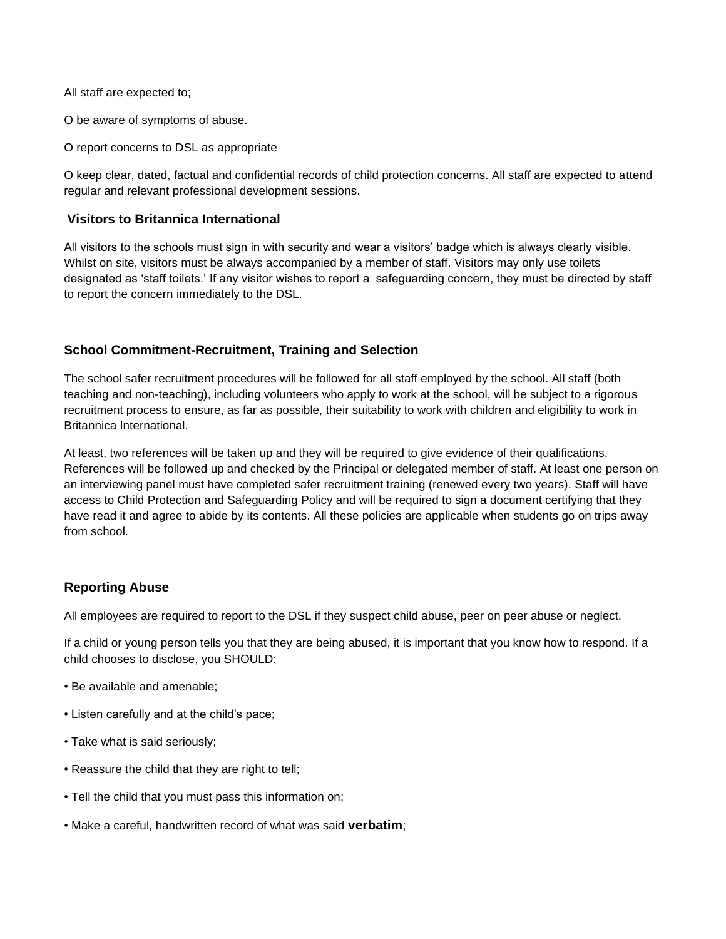All staff are expected to;

O be aware of symptoms of abuse.

O report concerns to DSL as appropriate

O keep clear, dated, factual and confidential records of child protection concerns. All staff are expected to attend regular and relevant professional development sessions.

## **Visitors to Britannica International**

All visitors to the schools must sign in with security and wear a visitors' badge which is always clearly visible. Whilst on site, visitors must be always accompanied by a member of staff. Visitors may only use toilets designated as 'staff toilets.' If any visitor wishes to report a safeguarding concern, they must be directed by staff to report the concern immediately to the DSL.

# **School Commitment-Recruitment, Training and Selection**

The school safer recruitment procedures will be followed for all staff employed by the school. All staff (both teaching and non-teaching), including volunteers who apply to work at the school, will be subject to a rigorous recruitment process to ensure, as far as possible, their suitability to work with children and eligibility to work in Britannica International.

At least, two references will be taken up and they will be required to give evidence of their qualifications. References will be followed up and checked by the Principal or delegated member of staff. At least one person on an interviewing panel must have completed safer recruitment training (renewed every two years). Staff will have access to Child Protection and Safeguarding Policy and will be required to sign a document certifying that they have read it and agree to abide by its contents. All these policies are applicable when students go on trips away from school.

#### **Reporting Abuse**

All employees are required to report to the DSL if they suspect child abuse, peer on peer abuse or neglect.

If a child or young person tells you that they are being abused, it is important that you know how to respond. If a child chooses to disclose, you SHOULD:

- Be available and amenable;
- Listen carefully and at the child's pace;
- Take what is said seriously;
- Reassure the child that they are right to tell;
- Tell the child that you must pass this information on;
- Make a careful, handwritten record of what was said **verbatim**;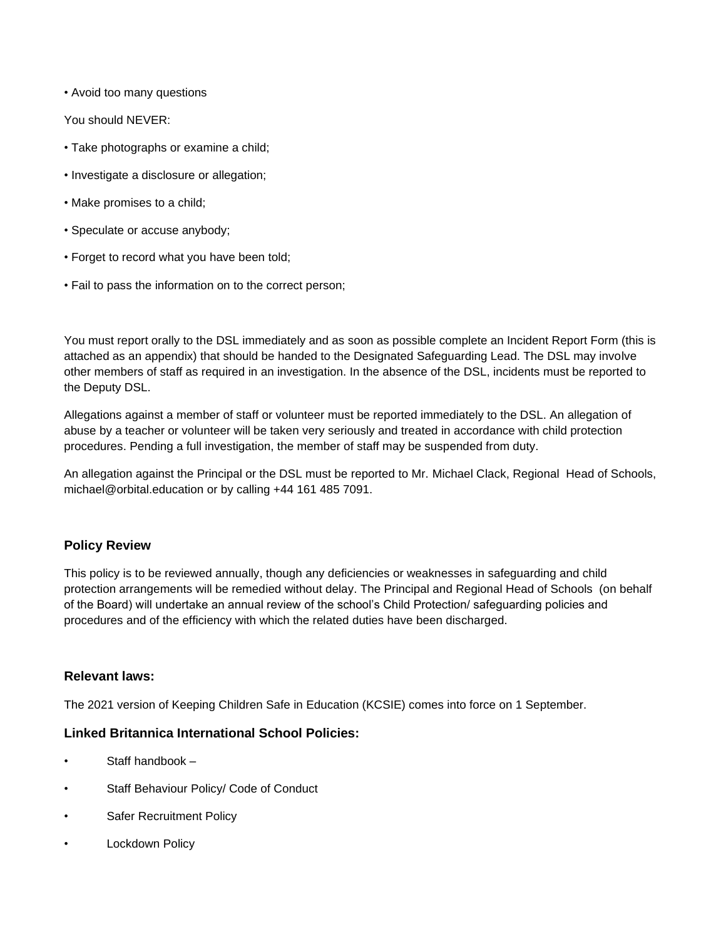• Avoid too many questions

You should NEVER:

- Take photographs or examine a child;
- Investigate a disclosure or allegation;
- Make promises to a child;
- Speculate or accuse anybody;
- Forget to record what you have been told;
- Fail to pass the information on to the correct person;

You must report orally to the DSL immediately and as soon as possible complete an Incident Report Form (this is attached as an appendix) that should be handed to the Designated Safeguarding Lead. The DSL may involve other members of staff as required in an investigation. In the absence of the DSL, incidents must be reported to the Deputy DSL.

Allegations against a member of staff or volunteer must be reported immediately to the DSL. An allegation of abuse by a teacher or volunteer will be taken very seriously and treated in accordance with child protection procedures. Pending a full investigation, the member of staff may be suspended from duty.

An allegation against the Principal or the DSL must be reported to Mr. Michael Clack, Regional Head of Schools, michael@orbital.education or by calling +44 161 485 7091.

# **Policy Review**

This policy is to be reviewed annually, though any deficiencies or weaknesses in safeguarding and child protection arrangements will be remedied without delay. The Principal and Regional Head of Schools (on behalf of the Board) will undertake an annual review of the school's Child Protection/ safeguarding policies and procedures and of the efficiency with which the related duties have been discharged.

#### **Relevant laws:**

The 2021 version of Keeping Children Safe in Education (KCSIE) comes into force on 1 September.

#### **Linked Britannica International School Policies:**

- Staff handbook –
- Staff Behaviour Policy/ Code of Conduct
- Safer Recruitment Policy
- **Lockdown Policy**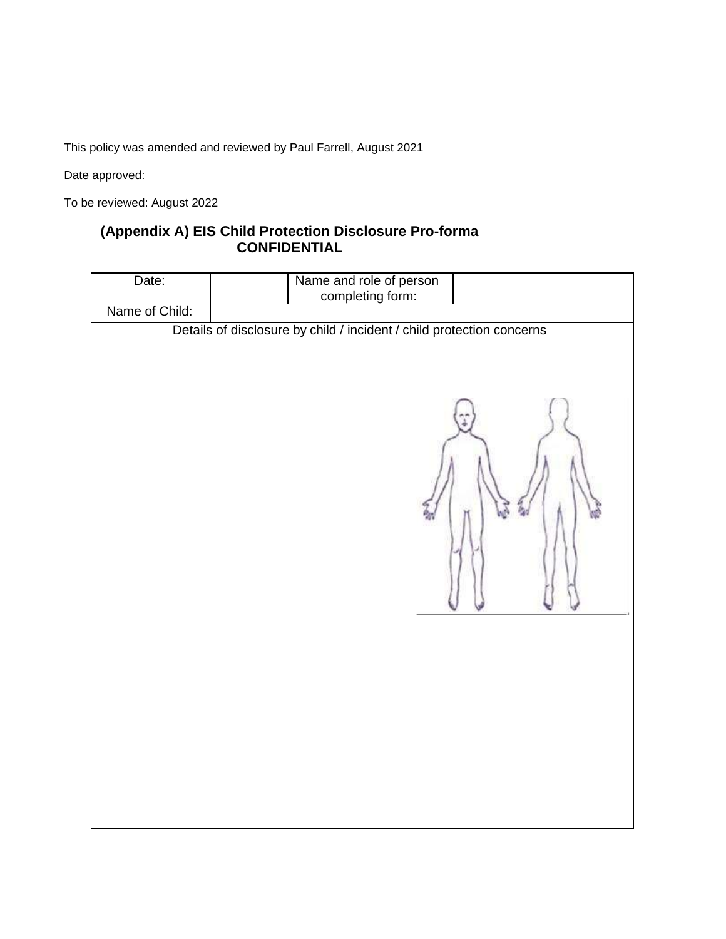This policy was amended and reviewed by Paul Farrell, August 2021

Date approved:

To be reviewed: August 2022

# **(Appendix A) EIS Child Protection Disclosure Pro-forma CONFIDENTIAL**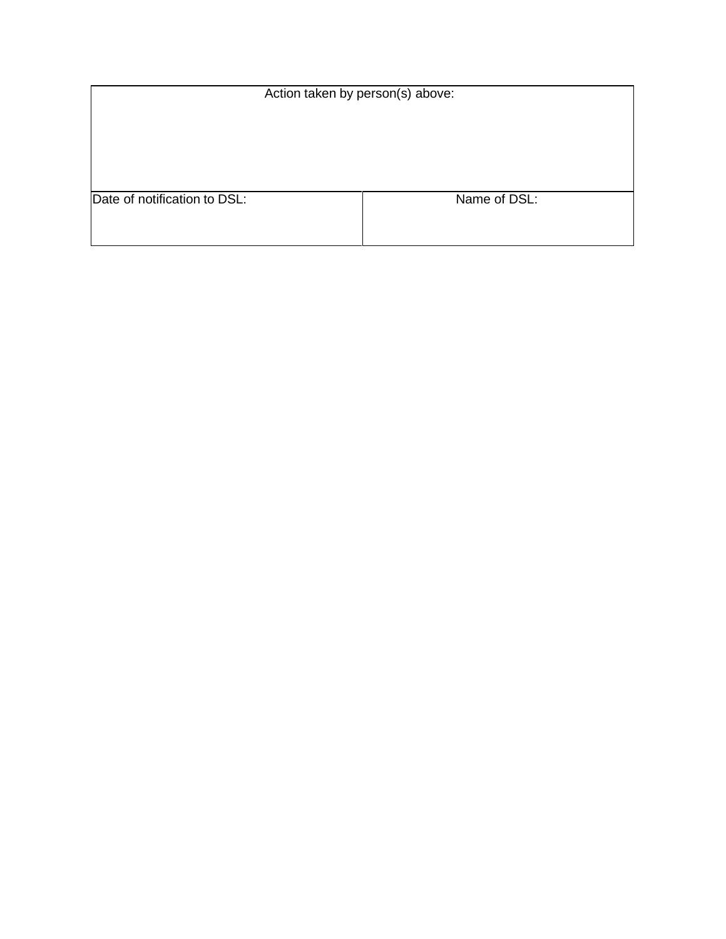| Action taken by person(s) above: |              |  |
|----------------------------------|--------------|--|
|                                  |              |  |
|                                  |              |  |
|                                  |              |  |
|                                  |              |  |
| Date of notification to DSL:     | Name of DSL: |  |
|                                  |              |  |
|                                  |              |  |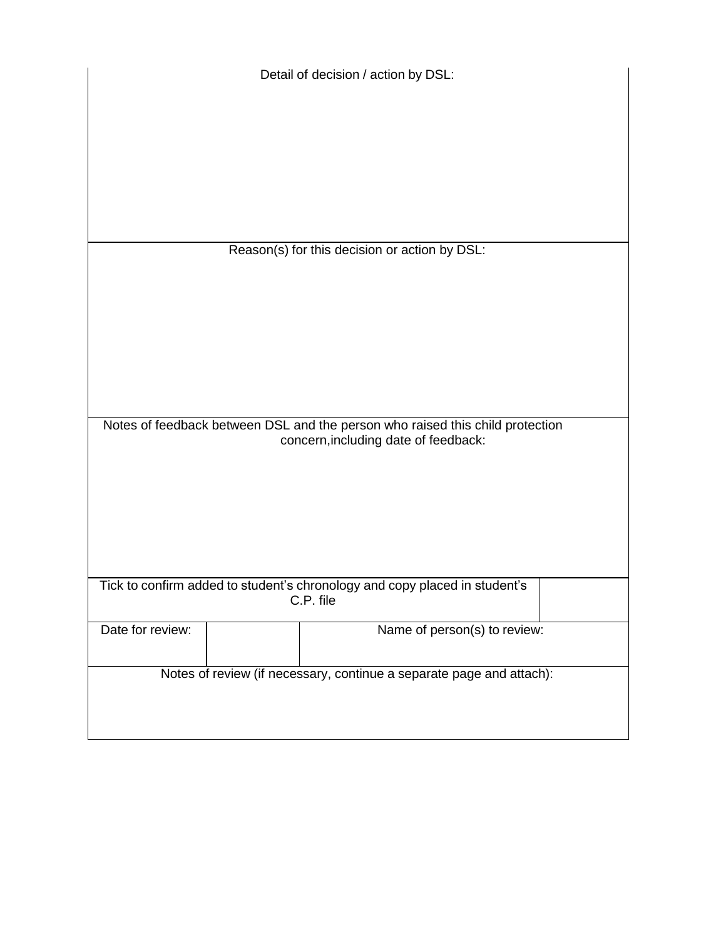| Detail of decision / action by DSL:                                           |  |                              |  |
|-------------------------------------------------------------------------------|--|------------------------------|--|
|                                                                               |  |                              |  |
|                                                                               |  |                              |  |
|                                                                               |  |                              |  |
|                                                                               |  |                              |  |
| Reason(s) for this decision or action by DSL:                                 |  |                              |  |
|                                                                               |  |                              |  |
|                                                                               |  |                              |  |
|                                                                               |  |                              |  |
|                                                                               |  |                              |  |
|                                                                               |  |                              |  |
|                                                                               |  |                              |  |
|                                                                               |  |                              |  |
| Notes of feedback between DSL and the person who raised this child protection |  |                              |  |
| concern, including date of feedback:                                          |  |                              |  |
|                                                                               |  |                              |  |
|                                                                               |  |                              |  |
|                                                                               |  |                              |  |
|                                                                               |  |                              |  |
|                                                                               |  |                              |  |
|                                                                               |  |                              |  |
| Tick to confirm added to student's chronology and copy placed in student's    |  |                              |  |
| C.P. file                                                                     |  |                              |  |
| Date for review:                                                              |  | Name of person(s) to review: |  |
|                                                                               |  |                              |  |
| Notes of review (if necessary, continue a separate page and attach):          |  |                              |  |
|                                                                               |  |                              |  |
|                                                                               |  |                              |  |
|                                                                               |  |                              |  |